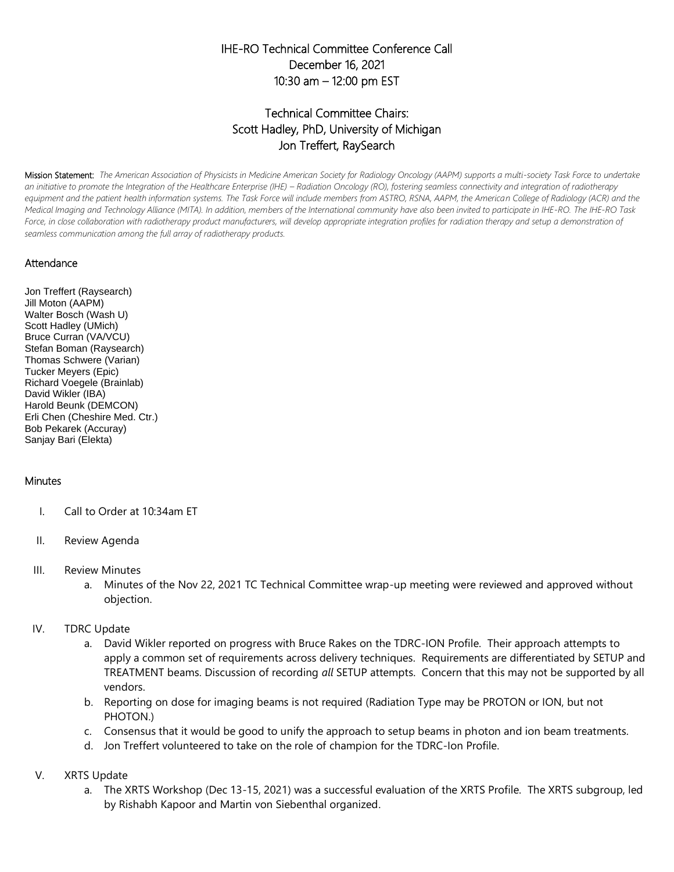## IHE-RO Technical Committee Conference Call December 16, 2021 10:30 am – 12:00 pm EST

## Technical Committee Chairs: Scott Hadley, PhD, University of Michigan Jon Treffert, RaySearch

Mission Statement: *The American Association of Physicists in Medicine American Society for Radiology Oncology (AAPM) supports a multi-society Task Force to undertake*  an initiative to promote the Integration of the Healthcare Enterprise (IHE) – Radiation Oncology (RO), fostering seamless connectivity and integration of radiotherapy equipment and the patient health information systems. The Task Force will include members from ASTRO, RSNA, AAPM, the American College of Radiology (ACR) and the *Medical Imaging and Technology Alliance (MITA). In addition, members of the International community have also been invited to participate in IHE-RO. The IHE-RO Task*  Force, in close collaboration with radiotherapy product manufacturers, will develop appropriate integration profiles for radiation therapy and setup a demonstration of *seamless communication among the full array of radiotherapy products.*

## **Attendance**

Jon Treffert (Raysearch) Jill Moton (AAPM) Walter Bosch (Wash U) Scott Hadley (UMich) Bruce Curran (VA/VCU) Stefan Boman (Raysearch) Thomas Schwere (Varian) Tucker Meyers (Epic) Richard Voegele (Brainlab) David Wikler (IBA) Harold Beunk (DEMCON) Erli Chen (Cheshire Med. Ctr.) Bob Pekarek (Accuray) Sanjay Bari (Elekta)

## **Minutes**

- I. Call to Order at 10:34am ET
- II. Review Agenda
- III. Review Minutes
	- a. Minutes of the Nov 22, 2021 TC Technical Committee wrap-up meeting were reviewed and approved without objection.
- IV. TDRC Update
	- a. David Wikler reported on progress with Bruce Rakes on the TDRC-ION Profile. Their approach attempts to apply a common set of requirements across delivery techniques. Requirements are differentiated by SETUP and TREATMENT beams. Discussion of recording *all* SETUP attempts. Concern that this may not be supported by all vendors.
	- b. Reporting on dose for imaging beams is not required (Radiation Type may be PROTON or ION, but not PHOTON.)
	- c. Consensus that it would be good to unify the approach to setup beams in photon and ion beam treatments.
	- d. Jon Treffert volunteered to take on the role of champion for the TDRC-Ion Profile.
- V. XRTS Update
	- a. The XRTS Workshop (Dec 13-15, 2021) was a successful evaluation of the XRTS Profile. The XRTS subgroup, led by Rishabh Kapoor and Martin von Siebenthal organized.